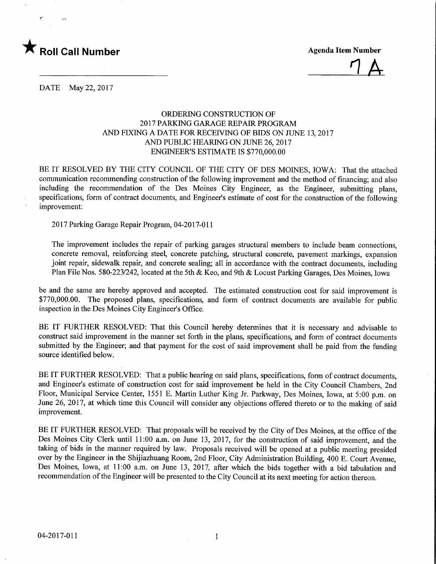



DATE May 22, 2017

## ORDERING CONSTRUCTION OF 2017 PARKING GARAGE REPAIR PROGRAM AND FIXING A DATE FOR RECEIVING OF BIDS ON JUNE 13, 2017 AND PUBLIC HEARING ON JUNE 26,2017 ENGINEER'S ESTIMATE IS \$770,000.00

BE IT RESOLVED BY THE CITY COUNCIL OF THE CITY OF DES MOINES, IOWA: That the attached communication recommending construction of the following improvement and the method of financing; and also including the recommendation of the Des Moines City Engineer, as the Engineer, submitting plans, specifications, form of contract documents, and Engineer's estimate of cost for the construction of the following improvement:

2017 Parking Garage Repair Program, 04-2017-011

The improvement includes the repair of parking garages structural members to include beam connections, concrete removal, reinforcing steel, concrete patching, structural concrete, pavement markings, expansion joint repair, sidewalk repair, and concrete sealing; all in accordance with the contract documents, including Plan File Nos. 580-223/242, located at the 5th & Keo, and 9th & Locust Parking Garages, Des Moines, Iowa

be and the same are hereby approved and accepted. The estimated construction cost for said improvement is \$770,000.00. The proposed plans, specifications, and form of contract documents are available for public inspection in the Des Moines City Engineer's Office.

BE IT FURTHER RESOLVED: That this Council hereby determines that it is necessary and advisable to construct said improvement in the manner set forth in the plans, specifications, and form of contract documents submitted by the Engineer; and that payment for the cost of said improvement shall be paid from the funding source identified below.

BE IT FURTHER RESOLVED: That a public hearing on said plans, specifications, form of contract documents, and Engineer's estimate of construction cost for said improvement be held in the City Council Chambers, 2nd Floor, Municipal Service Center, 1551 E. Martin Luther King Jr. Parkway, Des Moines, Iowa, at 5:00 p.m. on June 26, 2017, at which time this Council will consider any objections offered thereto or to the making of said improvement.

BE IT FURTHER RESOLVED: That proposals will be received by the City of Des Moines, at the office of the Des Moines City Clerk until 11:00 a.m. on June 13, 2017, for the construction of said improvement, and the taking of bids in the manner required by law. Proposals received will be opened at a public meeting presided over by the Engineer in the Shijiazhuang Room, 2nd Floor, City Administration Building, 400 E. Court Avenue, Des Moines, Iowa, at 11:00 a.m. on June 13, 2017, after which the bids together with a bid tabulation and recommendation of the Engineer will be presented to the City Council at its next meeting for action thereon.

 $\mathbf{1}$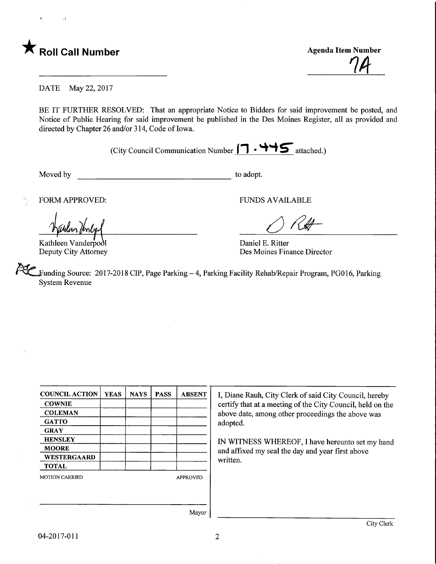

**Agenda Item Number** 

DATE May 22, 2017

BE IT FURTHER RESOLVED: That an appropriate Notice to Bidders for said improvement be posted, and Notice of Public Hearing for said improvement be published in the Des Moines Register, all as provided and directed by Chapter 26 and/or 314, Code of Iowa.

(City Council Communication Number  $\Box \cdot \rightarrow \bullet$  attached.)

Moved by to adopt.

Kathleen Vanderpodl Deputy City Attorney

FORM APPROVED: FUNDS AVAILABLE

 $\bigcirc$  RH

Daniel E. Ritter Des Moines Finance Director

funding Source: 2017-2018 CIP, Page Parking - 4, Parking Facility Rehab/Repair Program, PG016, Parking System Revenue

| <b>COUNCIL ACTION</b> | <b>YEAS</b> | <b>NAYS</b> | <b>PASS</b> | <b>ABSENT</b>   | I, Diane Rauh, City Clerk of said City Council, hereby     |
|-----------------------|-------------|-------------|-------------|-----------------|------------------------------------------------------------|
| <b>COWNIE</b>         |             |             |             |                 | certify that at a meeting of the City Council, held on the |
| <b>COLEMAN</b>        |             |             |             |                 | above date, among other proceedings the above was          |
| <b>GATTO</b>          |             |             |             |                 | adopted.                                                   |
| <b>GRAY</b>           |             |             |             |                 |                                                            |
| <b>HENSLEY</b>        |             |             |             |                 | IN WITNESS WHEREOF, I have hereunto set my hand            |
| <b>MOORE</b>          |             |             |             |                 | and affixed my seal the day and year first above           |
| <b>WESTERGAARD</b>    |             |             |             |                 | written.                                                   |
| <b>TOTAL</b>          |             |             |             |                 |                                                            |
| <b>MOTION CARRIED</b> |             |             |             | <b>APPROVED</b> |                                                            |
|                       |             |             |             |                 |                                                            |
|                       |             |             |             |                 |                                                            |
|                       |             |             |             | Mayor           |                                                            |
|                       |             |             |             |                 |                                                            |